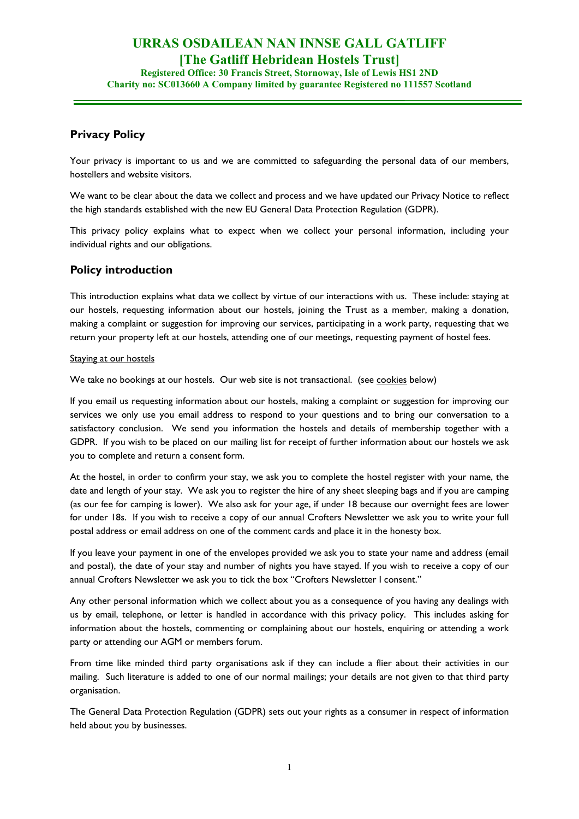# **URRAS OSDAILEAN NAN INNSE GALL GATLIFF [The Gatliff Hebridean Hostels Trust]**

**Registered Office: 30 Francis Street, Stornoway, Isle of Lewis HS1 2ND Charity no: SC013660 A Company limited by guarantee Registered no 111557 Scotland** 

# **Privacy Policy**

Your privacy is important to us and we are committed to safeguarding the personal data of our members, hostellers and website visitors.

We want to be clear about the data we collect and process and we have updated our Privacy Notice to reflect the high standards established with the new EU General Data Protection Regulation (GDPR).

This privacy policy explains what to expect when we collect your personal information, including your individual rights and our obligations.

# **Policy introduction**

This introduction explains what data we collect by virtue of our interactions with us. These include: staying at our hostels, requesting information about our hostels, joining the Trust as a member, making a donation, making a complaint or suggestion for improving our services, participating in a work party, requesting that we return your property left at our hostels, attending one of our meetings, requesting payment of hostel fees.

# Staying at our hostels

We take no bookings at our hostels. Our web site is not transactional. (see cookies below)

If you email us requesting information about our hostels, making a complaint or suggestion for improving our services we only use you email address to respond to your questions and to bring our conversation to a satisfactory conclusion. We send you information the hostels and details of membership together with a GDPR. If you wish to be placed on our mailing list for receipt of further information about our hostels we ask you to complete and return a consent form.

At the hostel, in order to confirm your stay, we ask you to complete the hostel register with your name, the date and length of your stay. We ask you to register the hire of any sheet sleeping bags and if you are camping (as our fee for camping is lower). We also ask for your age, if under 18 because our overnight fees are lower for under 18s. If you wish to receive a copy of our annual Crofters Newsletter we ask you to write your full postal address or email address on one of the comment cards and place it in the honesty box.

If you leave your payment in one of the envelopes provided we ask you to state your name and address (email and postal), the date of your stay and number of nights you have stayed. If you wish to receive a copy of our annual Crofters Newsletter we ask you to tick the box "Crofters Newsletter I consent."

Any other personal information which we collect about you as a consequence of you having any dealings with us by email, telephone, or letter is handled in accordance with this privacy policy. This includes asking for information about the hostels, commenting or complaining about our hostels, enquiring or attending a work party or attending our AGM or members forum.

From time like minded third party organisations ask if they can include a flier about their activities in our mailing. Such literature is added to one of our normal mailings; your details are not given to that third party organisation.

The General Data Protection Regulation (GDPR) sets out your rights as a consumer in respect of information held about you by businesses.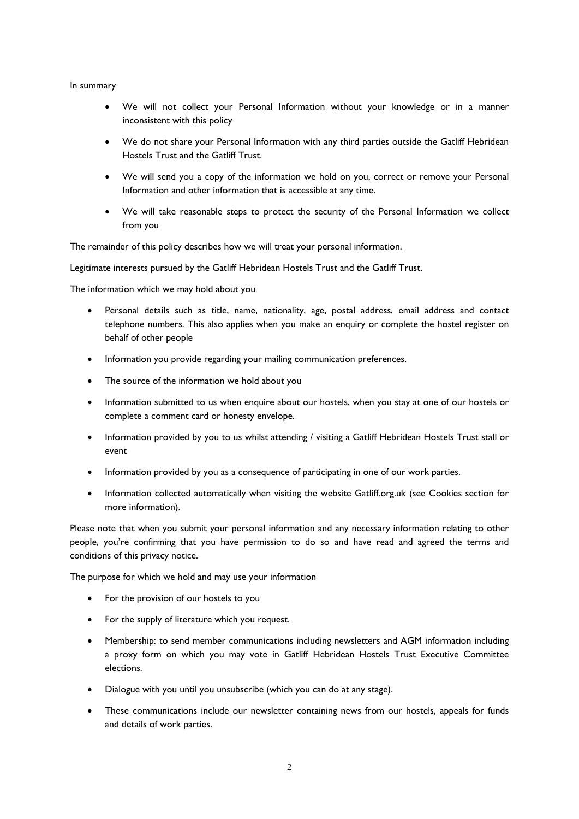#### In summary

- We will not collect your Personal Information without your knowledge or in a manner inconsistent with this policy
- We do not share your Personal Information with any third parties outside the Gatliff Hebridean Hostels Trust and the Gatliff Trust.
- We will send you a copy of the information we hold on you, correct or remove your Personal Information and other information that is accessible at any time.
- We will take reasonable steps to protect the security of the Personal Information we collect from you

The remainder of this policy describes how we will treat your personal information.

Legitimate interests pursued by the Gatliff Hebridean Hostels Trust and the Gatliff Trust.

The information which we may hold about you

- Personal details such as title, name, nationality, age, postal address, email address and contact telephone numbers. This also applies when you make an enquiry or complete the hostel register on behalf of other people
- Information you provide regarding your mailing communication preferences.
- The source of the information we hold about you
- Information submitted to us when enquire about our hostels, when you stay at one of our hostels or complete a comment card or honesty envelope.
- Information provided by you to us whilst attending / visiting a Gatliff Hebridean Hostels Trust stall or event
- Information provided by you as a consequence of participating in one of our work parties.
- Information collected automatically when visiting the website Gatliff.org.uk (see Cookies section for more information).

Please note that when you submit your personal information and any necessary information relating to other people, you're confirming that you have permission to do so and have read and agreed the terms and conditions of this privacy notice.

The purpose for which we hold and may use your information

- For the provision of our hostels to you
- For the supply of literature which you request.
- Membership: to send member communications including newsletters and AGM information including a proxy form on which you may vote in Gatliff Hebridean Hostels Trust Executive Committee elections.
- Dialogue with you until you unsubscribe (which you can do at any stage).
- These communications include our newsletter containing news from our hostels, appeals for funds and details of work parties.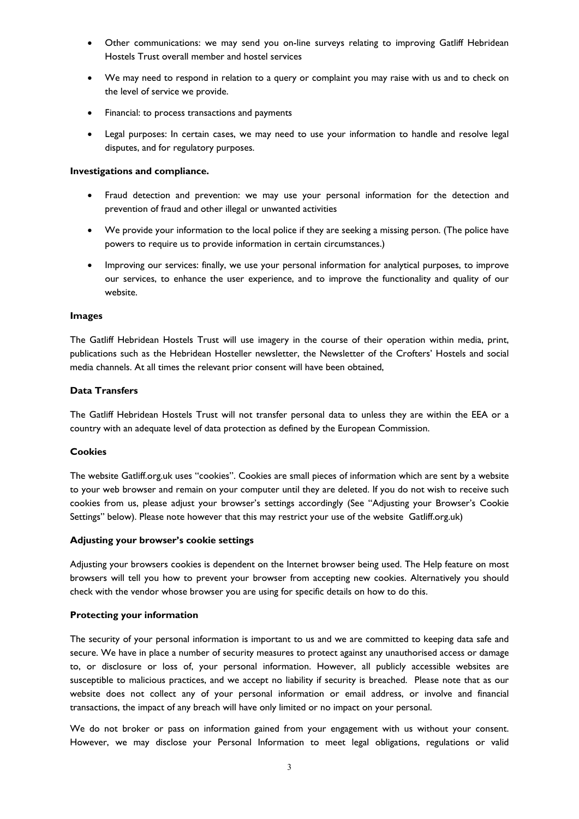- Other communications: we may send you on-line surveys relating to improving Gatliff Hebridean Hostels Trust overall member and hostel services
- We may need to respond in relation to a query or complaint you may raise with us and to check on the level of service we provide.
- Financial: to process transactions and payments
- Legal purposes: In certain cases, we may need to use your information to handle and resolve legal disputes, and for regulatory purposes.

# **Investigations and compliance.**

- Fraud detection and prevention: we may use your personal information for the detection and prevention of fraud and other illegal or unwanted activities
- We provide your information to the local police if they are seeking a missing person. (The police have powers to require us to provide information in certain circumstances.)
- Improving our services: finally, we use your personal information for analytical purposes, to improve our services, to enhance the user experience, and to improve the functionality and quality of our website.

# **Images**

The Gatliff Hebridean Hostels Trust will use imagery in the course of their operation within media, print, publications such as the Hebridean Hosteller newsletter, the Newsletter of the Crofters' Hostels and social media channels. At all times the relevant prior consent will have been obtained,

# **Data Transfers**

The Gatliff Hebridean Hostels Trust will not transfer personal data to unless they are within the EEA or a country with an adequate level of data protection as defined by the European Commission.

# **Cookies**

The website Gatliff.org.uk uses "cookies". Cookies are small pieces of information which are sent by a website to your web browser and remain on your computer until they are deleted. If you do not wish to receive such cookies from us, please adjust your browser's settings accordingly (See "Adjusting your Browser's Cookie Settings" below). Please note however that this may restrict your use of the website Gatliff.org.uk)

# **Adjusting your browser's cookie settings**

Adjusting your browsers cookies is dependent on the Internet browser being used. The Help feature on most browsers will tell you how to prevent your browser from accepting new cookies. Alternatively you should check with the vendor whose browser you are using for specific details on how to do this.

# **Protecting your information**

The security of your personal information is important to us and we are committed to keeping data safe and secure. We have in place a number of security measures to protect against any unauthorised access or damage to, or disclosure or loss of, your personal information. However, all publicly accessible websites are susceptible to malicious practices, and we accept no liability if security is breached. Please note that as our website does not collect any of your personal information or email address, or involve and financial transactions, the impact of any breach will have only limited or no impact on your personal.

We do not broker or pass on information gained from your engagement with us without your consent. However, we may disclose your Personal Information to meet legal obligations, regulations or valid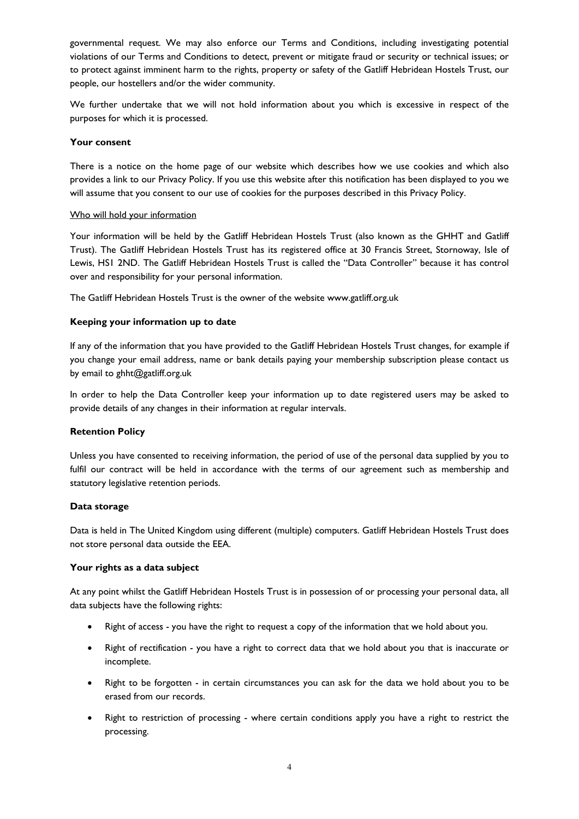governmental request. We may also enforce our Terms and Conditions, including investigating potential violations of our Terms and Conditions to detect, prevent or mitigate fraud or security or technical issues; or to protect against imminent harm to the rights, property or safety of the Gatliff Hebridean Hostels Trust, our people, our hostellers and/or the wider community.

We further undertake that we will not hold information about you which is excessive in respect of the purposes for which it is processed.

# **Your consent**

There is a notice on the home page of our website which describes how we use cookies and which also provides a link to our Privacy Policy. If you use this website after this notification has been displayed to you we will assume that you consent to our use of cookies for the purposes described in this Privacy Policy.

# Who will hold your information

Your information will be held by the Gatliff Hebridean Hostels Trust (also known as the GHHT and Gatliff Trust). The Gatliff Hebridean Hostels Trust has its registered office at 30 Francis Street, Stornoway, Isle of Lewis, HS1 2ND. The Gatliff Hebridean Hostels Trust is called the "Data Controller" because it has control over and responsibility for your personal information.

The Gatliff Hebridean Hostels Trust is the owner of the website www.gatliff.org.uk

# **Keeping your information up to date**

If any of the information that you have provided to the Gatliff Hebridean Hostels Trust changes, for example if you change your email address, name or bank details paying your membership subscription please contact us by email to ghht@gatliff.org.uk

In order to help the Data Controller keep your information up to date registered users may be asked to provide details of any changes in their information at regular intervals.

# **Retention Policy**

Unless you have consented to receiving information, the period of use of the personal data supplied by you to fulfil our contract will be held in accordance with the terms of our agreement such as membership and statutory legislative retention periods.

# **Data storage**

Data is held in The United Kingdom using different (multiple) computers. Gatliff Hebridean Hostels Trust does not store personal data outside the EEA.

# **Your rights as a data subject**

At any point whilst the Gatliff Hebridean Hostels Trust is in possession of or processing your personal data, all data subjects have the following rights:

- Right of access you have the right to request a copy of the information that we hold about you.
- Right of rectification you have a right to correct data that we hold about you that is inaccurate or incomplete.
- Right to be forgotten in certain circumstances you can ask for the data we hold about you to be erased from our records.
- Right to restriction of processing where certain conditions apply you have a right to restrict the processing.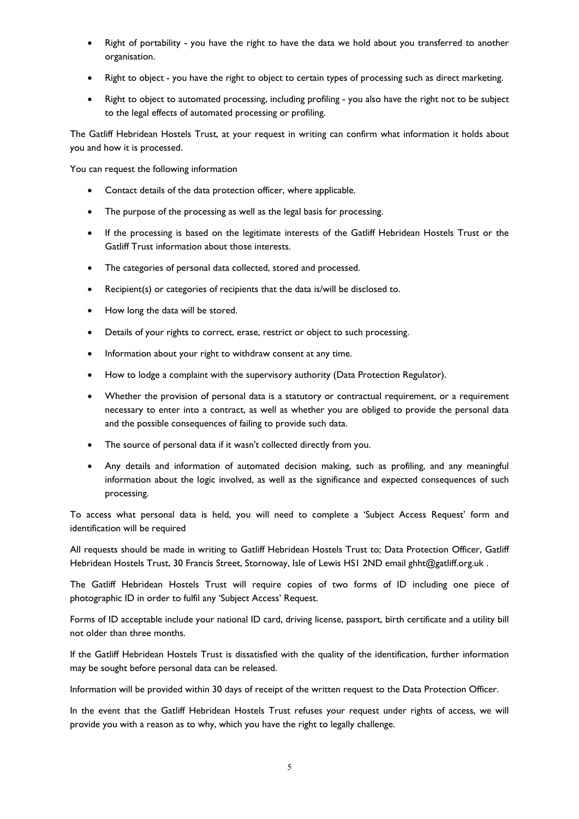- Right of portability you have the right to have the data we hold about you transferred to another organisation.
- Right to object you have the right to object to certain types of processing such as direct marketing.
- Right to object to automated processing, including profiling you also have the right not to be subject to the legal effects of automated processing or profiling.

The Gatliff Hebridean Hostels Trust, at your request in writing can confirm what information it holds about you and how it is processed.

You can request the following information

- Contact details of the data protection officer, where applicable.
- The purpose of the processing as well as the legal basis for processing.
- If the processing is based on the legitimate interests of the Gatliff Hebridean Hostels Trust or the Gatliff Trust information about those interests.
- The categories of personal data collected, stored and processed.
- Recipient(s) or categories of recipients that the data is/will be disclosed to.
- How long the data will be stored.
- Details of your rights to correct, erase, restrict or object to such processing.
- Information about your right to withdraw consent at any time.
- How to lodge a complaint with the supervisory authority (Data Protection Regulator).
- Whether the provision of personal data is a statutory or contractual requirement, or a requirement necessary to enter into a contract, as well as whether you are obliged to provide the personal data and the possible consequences of failing to provide such data.
- The source of personal data if it wasn't collected directly from you.
- Any details and information of automated decision making, such as profiling, and any meaningful information about the logic involved, as well as the significance and expected consequences of such processing.

To access what personal data is held, you will need to complete a 'Subject Access Request' form and identification will be required

All requests should be made in writing to Gatliff Hebridean Hostels Trust to; Data Protection Officer, Gatliff Hebridean Hostels Trust, 30 Francis Street, Stornoway, Isle of Lewis HS1 2ND email ghht@gatliff.org.uk .

The Gatliff Hebridean Hostels Trust will require copies of two forms of ID including one piece of photographic ID in order to fulfil any 'Subject Access' Request.

Forms of ID acceptable include your national ID card, driving license, passport, birth certificate and a utility bill not older than three months.

If the Gatliff Hebridean Hostels Trust is dissatisfied with the quality of the identification, further information may be sought before personal data can be released.

Information will be provided within 30 days of receipt of the written request to the Data Protection Officer.

In the event that the Gatliff Hebridean Hostels Trust refuses your request under rights of access, we will provide you with a reason as to why, which you have the right to legally challenge.